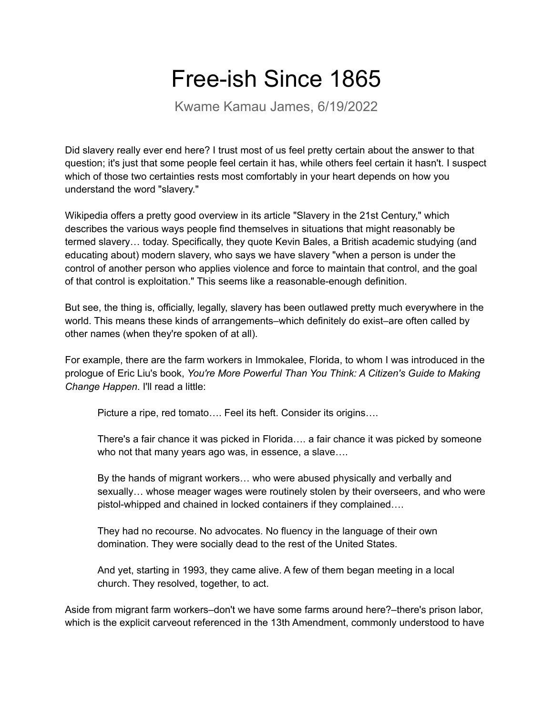## Free-ish Since 1865

Kwame Kamau James, 6/19/2022

Did slavery really ever end here? I trust most of us feel pretty certain about the answer to that question; it's just that some people feel certain it has, while others feel certain it hasn't. I suspect which of those two certainties rests most comfortably in your heart depends on how you understand the word "slavery."

Wikipedia offers a pretty good overview in its article "Slavery in the 21st Century," which describes the various ways people find themselves in situations that might reasonably be termed slavery… today. Specifically, they quote Kevin Bales, a British academic studying (and educating about) modern slavery, who says we have slavery "when a person is under the control of another person who applies violence and force to maintain that control, and the goal of that control is exploitation." This seems like a reasonable-enough definition.

But see, the thing is, officially, legally, slavery has been outlawed pretty much everywhere in the world. This means these kinds of arrangements–which definitely do exist–are often called by other names (when they're spoken of at all).

For example, there are the farm workers in Immokalee, Florida, to whom I was introduced in the prologue of Eric Liu's book, *You're More Powerful Than You Think: A Citizen's Guide to Making Change Happen*. I'll read a little:

Picture a ripe, red tomato…. Feel its heft. Consider its origins….

There's a fair chance it was picked in Florida…. a fair chance it was picked by someone who not that many years ago was, in essence, a slave….

By the hands of migrant workers… who were abused physically and verbally and sexually… whose meager wages were routinely stolen by their overseers, and who were pistol-whipped and chained in locked containers if they complained….

They had no recourse. No advocates. No fluency in the language of their own domination. They were socially dead to the rest of the United States.

And yet, starting in 1993, they came alive. A few of them began meeting in a local church. They resolved, together, to act.

Aside from migrant farm workers–don't we have some farms around here?–there's prison labor, which is the explicit carveout referenced in the 13th Amendment, commonly understood to have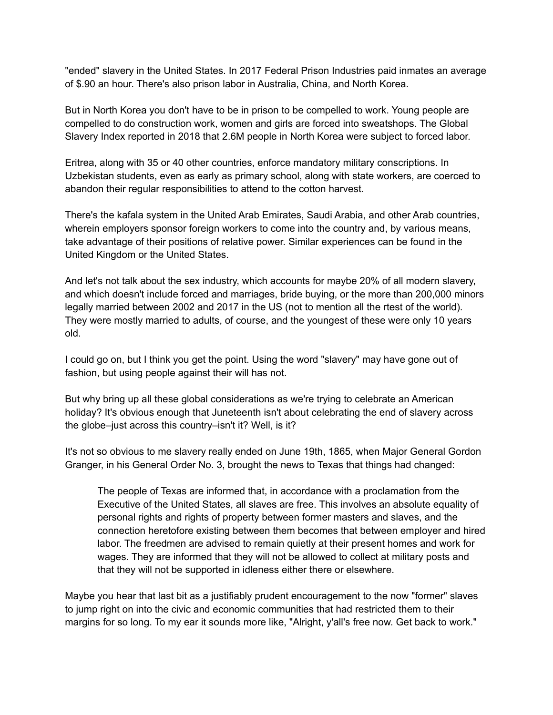"ended" slavery in the United States. In 2017 Federal Prison Industries paid inmates an average of \$.90 an hour. There's also prison labor in Australia, China, and North Korea.

But in North Korea you don't have to be in prison to be compelled to work. Young people are compelled to do construction work, women and girls are forced into sweatshops. The Global Slavery Index reported in 2018 that 2.6M people in North Korea were subject to forced labor.

Eritrea, along with 35 or 40 other countries, enforce mandatory military conscriptions. In Uzbekistan students, even as early as primary school, along with state workers, are coerced to abandon their regular responsibilities to attend to the cotton harvest.

There's the kafala system in the United Arab Emirates, Saudi Arabia, and other Arab countries, wherein employers sponsor foreign workers to come into the country and, by various means, take advantage of their positions of relative power. Similar experiences can be found in the United Kingdom or the United States.

And let's not talk about the sex industry, which accounts for maybe 20% of all modern slavery, and which doesn't include forced and marriages, bride buying, or the more than 200,000 minors legally married between 2002 and 2017 in the US (not to mention all the rtest of the world). They were mostly married to adults, of course, and the youngest of these were only 10 years old.

I could go on, but I think you get the point. Using the word "slavery" may have gone out of fashion, but using people against their will has not.

But why bring up all these global considerations as we're trying to celebrate an American holiday? It's obvious enough that Juneteenth isn't about celebrating the end of slavery across the globe–just across this country–isn't it? Well, is it?

It's not so obvious to me slavery really ended on June 19th, 1865, when Major General Gordon Granger, in his General Order No. 3, brought the news to Texas that things had changed:

The people of Texas are informed that, in accordance with a proclamation from the Executive of the United States, all slaves are free. This involves an absolute equality of personal rights and rights of property between former masters and slaves, and the connection heretofore existing between them becomes that between employer and hired labor. The freedmen are advised to remain quietly at their present homes and work for wages. They are informed that they will not be allowed to collect at military posts and that they will not be supported in idleness either there or elsewhere.

Maybe you hear that last bit as a justifiably prudent encouragement to the now "former" slaves to jump right on into the civic and economic communities that had restricted them to their margins for so long. To my ear it sounds more like, "Alright, y'all's free now. Get back to work."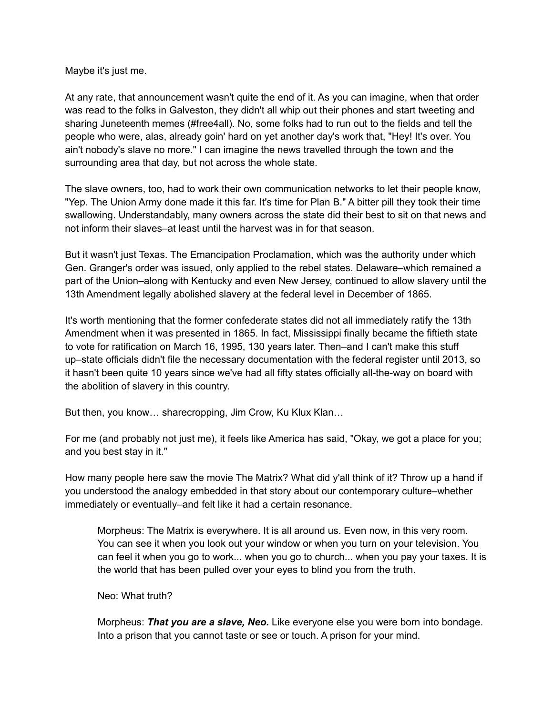Maybe it's just me.

At any rate, that announcement wasn't quite the end of it. As you can imagine, when that order was read to the folks in Galveston, they didn't all whip out their phones and start tweeting and sharing Juneteenth memes (#free4all). No, some folks had to run out to the fields and tell the people who were, alas, already goin' hard on yet another day's work that, "Hey! It's over. You ain't nobody's slave no more." I can imagine the news travelled through the town and the surrounding area that day, but not across the whole state.

The slave owners, too, had to work their own communication networks to let their people know, "Yep. The Union Army done made it this far. It's time for Plan B." A bitter pill they took their time swallowing. Understandably, many owners across the state did their best to sit on that news and not inform their slaves–at least until the harvest was in for that season.

But it wasn't just Texas. The Emancipation Proclamation, which was the authority under which Gen. Granger's order was issued, only applied to the rebel states. Delaware–which remained a part of the Union–along with Kentucky and even New Jersey, continued to allow slavery until the 13th Amendment legally abolished slavery at the federal level in December of 1865.

It's worth mentioning that the former confederate states did not all immediately ratify the 13th Amendment when it was presented in 1865. In fact, Mississippi finally became the fiftieth state to vote for ratification on March 16, 1995, 130 years later. Then–and I can't make this stuff up–state officials didn't file the necessary documentation with the federal register until 2013, so it hasn't been quite 10 years since we've had all fifty states officially all-the-way on board with the abolition of slavery in this country.

But then, you know… sharecropping, Jim Crow, Ku Klux Klan…

For me (and probably not just me), it feels like America has said, "Okay, we got a place for you; and you best stay in it."

How many people here saw the movie The Matrix? What did y'all think of it? Throw up a hand if you understood the analogy embedded in that story about our contemporary culture–whether immediately or eventually–and felt like it had a certain resonance.

Morpheus: The Matrix is everywhere. It is all around us. Even now, in this very room. You can see it when you look out your window or when you turn on your television. You can feel it when you go to work... when you go to church... when you pay your taxes. It is the world that has been pulled over your eyes to blind you from the truth.

Neo: What truth?

Morpheus: *That you are a slave, Neo.* Like everyone else you were born into bondage. Into a prison that you cannot taste or see or touch. A prison for your mind.